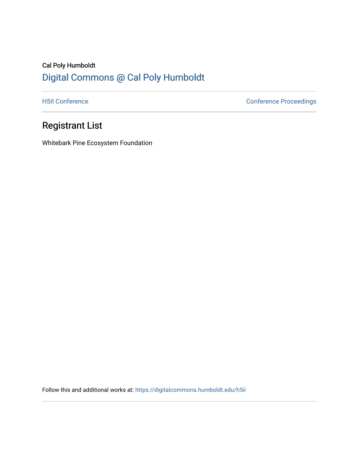## Cal Poly Humboldt [Digital Commons @ Cal Poly Humboldt](https://digitalcommons.humboldt.edu/)

[H5II Conference](https://digitalcommons.humboldt.edu/h5ii) Conference Proceedings

## Registrant List

Whitebark Pine Ecosystem Foundation

Follow this and additional works at: [https://digitalcommons.humboldt.edu/h5ii](https://digitalcommons.humboldt.edu/h5ii?utm_source=digitalcommons.humboldt.edu%2Fh5ii%2F1&utm_medium=PDF&utm_campaign=PDFCoverPages)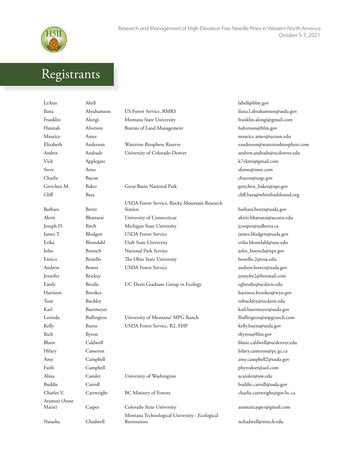

## Registrants

| LeAnn                   | Abell          |                                                              | labell@blm.gov                  |
|-------------------------|----------------|--------------------------------------------------------------|---------------------------------|
| Ilana                   | Abrahamson     | US Forest Service, RMRS                                      | ilana.l.abrahamson@usda.gov     |
| Franklin                | Alongi         | Montana State University                                     | franklin.alongi@gmail.com       |
| Hannah                  | Alverson       | Bureau of Land Management                                    | halverson@blm.gov               |
| Maurice                 | Amee           |                                                              | maurice.amee@uconn.edu          |
| Elizabeth               | Anderson       | Waterton Biosphere Reserve                                   | eanderson@watertonbiosphere.com |
| Andres                  | Andrade        | University of Colorado Denver                                | andrew.andrade@ucdenver.edu     |
| Vick                    | Applegate      |                                                              | k7vkmt@gmail.com                |
| Steve                   | Arno           |                                                              | sfarno@msn.com                  |
| Charlie                 | Bacon          |                                                              | cbacon@usgs.gov                 |
| Gretchen M.             | Baker          | Great Basin National Park                                    | gretchen_baker@nps.gov          |
| Cliff                   | Bara           |                                                              | cliff.bara@whitebarkfound.org   |
|                         |                | USDA Forest Service, Rocky Mountain Research                 |                                 |
| Barbara                 | Bentz          | Station                                                      | barbara.bentz@usda.gov          |
| Akriti                  | Bhattarai      | University of Connecticut                                    | akriti.bhattarai@uconn.edu      |
| Joseph D.               | Birch          | Michigan State University                                    | jcooper@ualberta.ca             |
| James T.                | Blodgett       | <b>USDA</b> Forest Service                                   | james.blodgett@usda.gov         |
| Erika                   | Blomdahl       | Utah State University                                        | erika.blomdahl@usu.edu          |
| John                    | Boetsch        | National Park Service                                        | john_boetsch@nps.gov            |
| Enrico                  | Bonello        | The Ohio State University                                    | bonello.2@osu.edu               |
| Andrew                  | Bower          | <b>USDA</b> Forest Service                                   | andrew.bower@usda.gov           |
| Jennifer                | <b>Brickey</b> |                                                              | jennybe2@hotmail.com            |
| Emily                   | Brodie         | UC Davis Graduate Group in Ecology                           | egbrodie@ucdavis.edu            |
| Harrison                | <b>Brookes</b> |                                                              | harrison.brookes@wyo.gov        |
| Tom                     | Buckley        |                                                              | tnbuckley@ucdavis.edu           |
| Karl                    | Buermeyer      |                                                              | karl.buermeyer@usda.gov         |
| Lorinda                 | Bullington     | University of Montana/ MPG Ranch                             | lbullington@mpgranch.com        |
| Kelly                   | Burns          | USDA Forest Service, R2, FHP                                 | kelly.burns@usda.gov            |
| Rich                    | Byron          |                                                              | rbyron@blm.gov                  |
| Blaire                  | Caldwell       |                                                              | blaire.caldwell@ucdenver.edu    |
| Hilary                  | Cameron        |                                                              | hilary.cameron@pc.gc.ca         |
| Amy                     | Campbell       |                                                              | amy.campbell2@usda.gov          |
| Faith                   | Campbell       |                                                              | phytodoer@aol.com               |
| Alina                   | Cansler        | University of Washington                                     | acansler@uw.edu                 |
| Buddie                  | Carroll        |                                                              | buddie.carroll@usda.gov         |
| Charles V.              | Cartwright     | <b>BC Ministry of Forests</b>                                | charlie.cartwright@gov.bc.ca    |
| Aramati (Anne<br>Marie) | Casper         | Colorado State University                                    | aramaticasper@gmail.com         |
| Natasha                 | Chadwell       | Montana Technological University - Ecological<br>Restoration | nchadwell@mtech.edu             |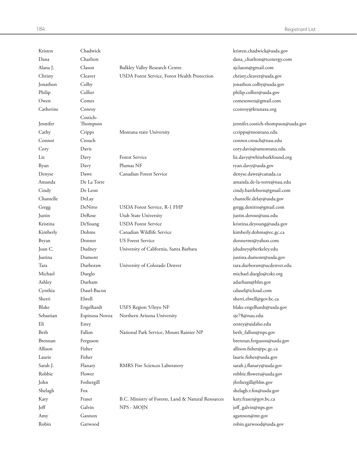| Kristen   | Chadwick         |                                                    | kristen.chadwick@usda.gov          |
|-----------|------------------|----------------------------------------------------|------------------------------------|
| Dana      | Charlton         |                                                    | dana_charlton@tcenergy.com         |
| Alana J.  | Clason           | <b>Bulkley Valley Research Centre</b>              | ajclason@gmail.com                 |
| Christy   | Cleaver          | USDA Forest Service, Forest Health Protection      | christy.cleaver@usda.gov           |
| Jonathon  | Colby            |                                                    | jonathon.colby@usda.gov            |
| Philip    | Collier          |                                                    | philip.collier@usda.gov            |
| Owen      | Comes            |                                                    | comesowen@gmail.com                |
| Catherine | Conroy           |                                                    | cconroy@ktunaxa.org                |
|           | Costich-         |                                                    |                                    |
| Jennifer  | Thompson         |                                                    | jennifer.costich-thompson@usda.gov |
| Cathy     | Cripps<br>Crouch | Montana state University                           | ccripps@montana.edu                |
| Connor    |                  |                                                    | connor.crouch@nau.edu              |
| Cory      | Davis            |                                                    | cory.davis@umontana.edu            |
| Liz       | Davy             | <b>Forest Service</b><br>Plumas NF                 | liz.davy@whitebarkfound.org        |
| Ryan      | Davy             |                                                    | ryan.davy@usda.gov                 |
| Denyse    | Dawe             | Canadian Forest Service                            | denyse.dawe@canada.ca              |
| Amanda    | De La Torre      |                                                    | amanda.de-la-torre@nau.edu         |
| Cindy     | De Leon          |                                                    | cindy.battleborn@gmail.com         |
| Chantelle | DeLay            |                                                    | chantelle.delay@usda.gov           |
| Gregg     | DeNitto          | USDA Forest Service, R-1 FHP                       | gregg.denitto@gmail.com            |
| Justin    | DeRose           | Utah State University                              | justin.derose@usu.edu              |
| Kristina  | DeYoung          | <b>USDA</b> Forest Service                         | kristina.deyoung@usda.gov          |
| Kimberly  | Dohms            | Canadian Wildlife Service                          | kimberly.dohms@ec.gc.ca            |
| Bryan     | Donner           | <b>US Forest Service</b>                           | donnermt@yahoo.com                 |
| Joan C.   | Dudney           | University of California, Santa Barbara            | jdudney@berkeley.edu               |
| Justina   | Dumont           |                                                    | justina.dumont@usda.gov            |
| Tara      | Durboraw         | University of Colorado Denver                      | tara.durboraw@ucdenver.edu         |
| Michael   | Durglo           |                                                    | michael.durglo@cskt.org            |
| Ashley    | Durham           |                                                    | adurham@blm.gov                    |
| Cynthia   | Dusel-Bacon      |                                                    | cdusel@icloud.com                  |
| Sherri    | Elwell           |                                                    | sherri.elwell@gov.bc.ca            |
| Blake     | Engelhardt       | USFS Region 5/Inyo NF                              | blake.engelhardt@usda.gov          |
| Sebastian | Espinosa Novoa   | Northern Arizona University                        | sje78@nau.edu                      |
| Eli       | Estey            |                                                    | eestey@uidaho.edu                  |
| Beth      | Fallon           | National Park Service, Mount Rainier NP            | beth_fallon@nps.gov                |
| Brennan   | Ferguson         |                                                    | brennan.ferguson@usda.gov          |
| Allison   | Fisher           |                                                    | allison.fisher@pc.gc.ca            |
| Laurie    | Fisher           |                                                    | laurie.fisher@usda.gov             |
| Sarah J.  | Flanary          | RMRS Fire Sciences Laboratory                      | sarah.j.flanary@usda.gov           |
| Robbie    | Flower           |                                                    | robbie.flowers@usda.gov            |
| John      | Fothergill       |                                                    | jfothergill@blm.gov                |
| Shelagh   | Fox              |                                                    | shelagh.r.fox@usda.gov             |
| Katy      | Fraser           | B.C. Ministry of Forests, Land & Natural Resources | katy.fraser@gov.bc.ca              |
| Jeff      | Galvin           | NPS - MOJN                                         | jeff_galvin@nps.gov                |
| Amy       | Gannon           |                                                    | agannon@mt.gov                     |
| Robin     | Garwood          |                                                    | robin.garwood@usda.gov             |
|           |                  |                                                    |                                    |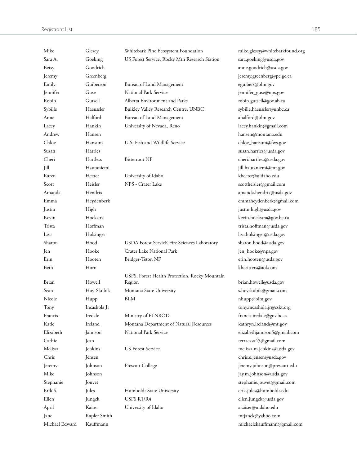Registrant List 185

| Mike           | Giesey       | Whitebark Pine Ecosystem Foundation                      | mike.giesey@whitebarkfound.org |
|----------------|--------------|----------------------------------------------------------|--------------------------------|
| Sara A.        | Goeking      | US Forest Service, Rocky Mtn Research Station            | sara.goeking@usda.gov          |
| Betsy          | Goodrich     |                                                          | anne.goodrich@usda.gov         |
| Jeremy         | Greenberg    |                                                          | jeremy.greenberg@pc.gc.ca      |
| Emily          | Guiberson    | Bureau of Land Management                                | eguibers@blm.gov               |
| Jennifer       | Guse         | National Park Service                                    | jennifer_guse@nps.gov          |
| Robin          | Gutsell      | Alberta Environment and Parks                            | robin.gutsell@gov.ab.ca        |
| Sybille        | Haeussler    | Bulkley Valley Research Centre, UNBC                     | sybille.haeussler@unbc.ca      |
| Anne           | Halford      | Bureau of Land Management                                | ahalford@blm.gov               |
| Lacey          | Hankin       | University of Nevada, Reno                               | lacey.hankin@gmail.com         |
| Andrew         | Hansen       |                                                          | hansen@montana.edu             |
| Chloe          | Hansum       | U.S. Fish and Wildlife Service                           | chloe_hansum@fws.gov           |
| Susan          | Harries      |                                                          | susan.harries@usda.gov         |
| Cheri          | Hartless     | <b>Bitterroot NF</b>                                     | cheri.hartless@usda.gov        |
| Jill           | Hautaniemi   |                                                          | jill.hautaniemi@mt.gov         |
| Karen          | Heeter       | University of Idaho                                      | kheeter@uidaho.edu             |
| Scott          | Heisler      | NPS - Crater Lake                                        | scottheisler@gmail.com         |
| Amanda         | Hendrix      |                                                          | amanda.hendrix@usda.gov        |
| Emma           | Heydenberk   |                                                          | emmaheydenberk@gmail.com       |
| Justin         | High         |                                                          | justin.high@usda.gov           |
| Kevin          | Hoekstra     |                                                          | kevin.hoekstra@gov.bc.ca       |
| Trista         | Hoffman      |                                                          |                                |
|                |              |                                                          | trista.hoffman@usda.gov        |
| Lisa           | Holsinger    |                                                          | lisa.holsinger@usda.gov        |
| Sharon         | Hood         | USDA Forest ServicE Fire Sciences Laboratory             | sharon.hood@usda.gov           |
| Jen            | Hooke        | Crater Lake National Park                                | jen_hooke@nps.gov              |
| Erin           | Hooten       | Bridger-Teton NF                                         | erin.hooten@usda.gov           |
| Beth           | Horn         |                                                          | khcritters@aol.com             |
| Brian          | Howell       | USFS, Forest Health Protection, Rocky Mountain<br>Region | brian.howell@usda.gov          |
| Sean           | Hoy-Skubik   | Montana State University                                 | s.hoyskubik@gmail.com          |
| Nicole         | Hupp         | BLM                                                      | nhupp@blm.gov                  |
| Tony           | Incashola Jr |                                                          | tony.incashola.jr@cskt.org     |
| Francis        | Iredale      | Ministry of FLNROD                                       | francis.iredale@gov.bc.ca      |
| Katie          | Ireland      | Montana Department of Natural Resources                  | kathryn.ireland@mt.gov         |
| Elizabeth      | Jamison      | National Park Service                                    | elizabethjamison5@gmail.com    |
| Cathie         | Jean         |                                                          | terracasa45@gmail.com          |
| Melissa        | Jenkins      | <b>US Forest Service</b>                                 | melissa.m.jenkins@usda.gov     |
| Chris          | Jensen       |                                                          | chris.e.jensen@usda.gov        |
| Jeremy         | Johnson      | <b>Prescott College</b>                                  | jeremy.johnson@prescott.edu    |
| Mike           | Johnson      |                                                          | jay.m.johnson@usda.gov         |
| Stephanie      | Jouvet       |                                                          | stephanie.jouvet@gmail.com     |
| Erik S.        | Jules        | Humboldt State University                                | erik.jules@humboldt.edu        |
| Ellen          | Jungck       | USFS R1/R4                                               | ellen.jungck@usda.gov          |
| April          | Kaiser       | University of Idaho                                      | akaiser@uidaho.edu             |
| Jane           | Kapler Smith |                                                          | mtjanek@yahoo.com              |
| Michael Edward | Kauffmann    |                                                          | michaelekauffmann@gmail.com    |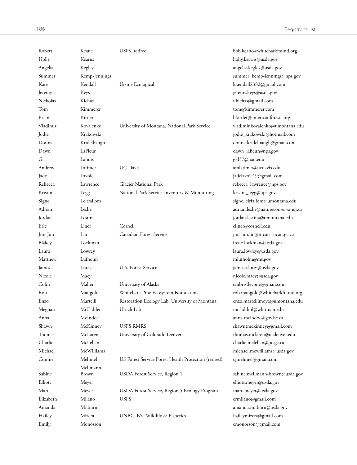| Robert    | Keane         | USFS, retired                                        | bob.keane@whitebarkfound.org       |
|-----------|---------------|------------------------------------------------------|------------------------------------|
| Holly     | Kearns        |                                                      | holly.kearns@usda.gov              |
| Angelia   | Kegley        |                                                      | angelia.kegley@usda.gov            |
| Summer    | Kemp-Jennings |                                                      | summer_kemp-jennings@nps.gov       |
| Kate      | Kendall       | Ursine Ecological                                    | kkendall2382@gmail.com             |
| Jeremy    | Keys          |                                                      | jeremy.keys@usda.gov               |
| Nickolas  | Kichas        |                                                      | nkichas@gmail.com                  |
| Tom       | Kimmerer      |                                                      | tom@kimmerer.com                   |
| Brian     | Kittler       |                                                      | bkittler@americanforests.org       |
| Vladimir  | Kovalenko     | University of Montana, National Park Service         | vladimir.kovalenko@umontana.edu    |
| Jodie     | Krakowski     |                                                      | jodie_krakowski@hotmail.com        |
| Donna     | Kridelbaugh   |                                                      | donna.kridelbaugh@gmail.com        |
| Dawn      | LaFleur       |                                                      | dawn_lafleur@nps.gov               |
| Gia       | Landis        |                                                      | gkl37@nau.edu                      |
| Andrew    | Latimer       | <b>UC</b> Davis                                      | amlatimer@ucdavis.edu              |
| Jade      | Lavoie        |                                                      | jadelavoie19@gmail.com             |
| Rebecca   | Lawrence      | Glacier National Park                                | rebecca_lawrence@nps.gov           |
| Kristin   | Legg          | National Park Service-Inventory & Monitoring         | kristin_legg@nps.gov               |
| Signe     | Leirfallom    |                                                      | signe.leirfallom@umontana.edu      |
| Adrian    | Leslie        |                                                      | adrian.leslie@natureconservancy.ca |
| Jordan    | Lestina       |                                                      | jordan.lestina@umontana.edu        |
| Eric      | Liner         | Cornell                                              | eliner@cornell.edu                 |
| Jun-Jun   | Liu           | Canadian Forest Service                              | jun-jun.liu@nrcan-rncan.gc.ca      |
| Blakey    | Lockman       |                                                      | irene.lockman@usda.gov             |
| Laura     | Lowrey        |                                                      | laura.lowrey@usda.gov              |
| Matthew   | Lufholm       |                                                      | mlufholm@mt.gov                    |
| James     | Lutes         | U.S. Forest Service                                  | james.r.lutes@usda.gov             |
| Nicole    | Macy          |                                                      | nicole.macy@usda.gov               |
| Colin     | Maher         | University of Alaska                                 | cmbristlecone@gmail.com            |
| Rob       | Mangold       | Whitebark Pine Ecosystem Foundation                  | rob.mangold@whitebarkfound.org     |
| Enzo      | Martelli      | Restoration Ecology Lab, University of Montana       | enzo.martellimoya@umontana.edu     |
| Meghan    | McFadden      | Ulrich Lab                                           | mcfaddml@whitman.edu               |
| Anna      | McIndoe       |                                                      | anna.mcindoe@gov.bc.ca             |
| Shawn     | McKinney      | <b>USFS RMRS</b>                                     | shawntmckinney@gmail.com           |
| Thomas    | McLaren       | University of Colorado Denver                        | thomas.mclaren@ucdenver.edu        |
| Charlie   | McLellan      |                                                      | charlie.mclellan@pc.gc.ca          |
| Michael   | McWilliams    |                                                      | michael.mcwilliams@usda.gov        |
| Connie    | Mehmel        | US Forest Service Forest Health Protection (retired) | cjmehmel@gmail.com                 |
|           | Mellmann-     |                                                      |                                    |
| Sabine    | Brown         | USDA Forest Service, Region 1                        | sabine.mellmann-brown@usda.gov     |
| Elliott   | Meyer         |                                                      | elliott.meyer@usda.gov             |
| Marc      | Meyer         | USDA Forest Service, Region 5 Ecology Program        | marc.meyer@usda.gov                |
| Elizabeth | Milano        | <b>USFS</b>                                          | ermilano@gmail.com                 |
| Amanda    | Milburn       |                                                      | amanda.milburn@usda.gov            |
| Hailey    | Mizera        | UNBC, BSc Wildlife & Fisheries                       | haileymizera@gmail.com             |
| Emily     | Monosson      |                                                      | emonosson@gmail.com                |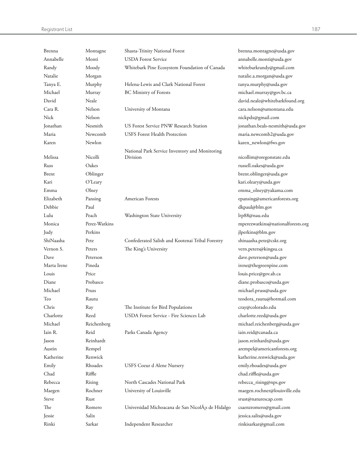| Brenna      | Montagne      | Shasta-Trinity National Forest                    | brenna.montagne@usda.gov          |
|-------------|---------------|---------------------------------------------------|-----------------------------------|
| Annabelle   | Monti         | <b>USDA</b> Forest Service                        | annabelle.monti@usda.gov          |
| Randy       | Moody         | Whitebark Pine Ecosystem Foundation of Canada     | whitebarkrandy@gmail.com          |
| Natalie     | Morgan        |                                                   | natalie.a.morgan@usda.gov         |
| Tanya E.    | Murphy        | Helena-Lewis and Clark National Forest            | tanya.murphy@usda.gov             |
| Michael     | Murray        | <b>BC</b> Ministry of Forests                     | michael.murray@gov.bc.ca          |
| David       | Neale         |                                                   | david.neale@whitebarkfound.org    |
| Cara R.     | Nelson        | University of Montana                             | cara.nelson@umontana.edu          |
| Nick        | Nelson        |                                                   | nickpdx@gmail.com                 |
| Jonathan    | Nesmith       | US Forest Service PNW Research Station            | jonathan.beals-nesmith@usda.gov   |
| Maria       | Newcomb       | <b>USFS</b> Forest Health Protection              | maria.newcomb2@usda.gov           |
| Karen       | Newlon        |                                                   | karen_newlon@fws.gov              |
|             |               | National Park Service Inventory and Monitoring    |                                   |
| Melissa     | Nicolli       | Division                                          | nicollim@oregonstate.edu          |
| Russ        | Oakes         |                                                   | russell.oakes@usda.gov            |
| Brent       | Oblinger      |                                                   | brent.oblinger@usda.gov           |
| Kari        | O'Leary       |                                                   | kari.oleary@usda.gov              |
| Emma        | Olney         |                                                   | emma_olney@yakama.com             |
| Elizabeth   | Pansing       | American Forests                                  | epansing@americanforests.org      |
| Debbie      | Paul          |                                                   | dkpaul@blm.gov                    |
| Lulu        | Peach         | Washington State University                       | lrp88@nau.edu                     |
| Monica      | Perez-Watkins |                                                   | mperezwatkins@nationalforests.org |
| Judy        | Perkins       |                                                   | jlperkins@blm.gov                 |
| ShiNaasha   | Pete          | Confederated Salish and Kootenai Tribal Forestry  | shinaasha.pete@cskt.org           |
| Vernon S.   | Peters        | The King's University                             | vern.peters@kingsu.ca             |
| Dave        | Peterson      |                                                   | dave.peterson@usda.gov            |
| Marta Irene | Pineda        |                                                   | irene@thegreenpine.com            |
| Louis       | Price         |                                                   | louis.price@gov.ab.ca             |
| Diane       | Probasco      |                                                   | diane.probasco@usda.gov           |
| Michael     | Pruss         |                                                   | michael.pruss@usda.gov            |
| Teo         | Rautu         |                                                   | teodora_rautu@hotmail.com         |
| Chris       | Ray           | The Institute for Bird Populations                | cray@colorado.edu                 |
| Charlotte   | Reed          | USDA Forest Service - Fire Sciences Lab           | charlotte.reed@usda.gov           |
| Michael     | Reichenberg   |                                                   | michael.reichenberg@usda.gov      |
| Iain R.     | Reid          | Parks Canada Agency                               | iain.reid@canada.ca               |
| Jason       | Reinhardt     |                                                   | jason.reinhardt@usda.gov          |
| Austin      | Rempel        |                                                   | arempel@americanforests.org       |
| Katherine   | Renwick       |                                                   | katherine.renwick@usda.gov        |
| Emily       | Rhoades       | USFS Coeur d Alene Nursery                        | emily.rhoades@usda.gov            |
| Chad        | Riffle        |                                                   | chad.riffle@usda.gov              |
| Rebecca     | Rising        | North Cascades National Park                      | rebecca_rising@nps.gov            |
| Maegen      | Rochner       | University of Louisville                          | maegen.rochner@louisville.edu     |
| Steve       | Rust          |                                                   | srust@naturescap.com              |
| The         | Romero        | Universidad Michoacana de San NicolÁ;s de Hidalgo | csaenzromero@gmail.com            |
| Jessie      | Salix         |                                                   | jessica.salix@usda.gov            |
| Rinki       | Sarkar        | Independent Researcher                            | rinkisarkar@gmail.com             |
|             |               |                                                   |                                   |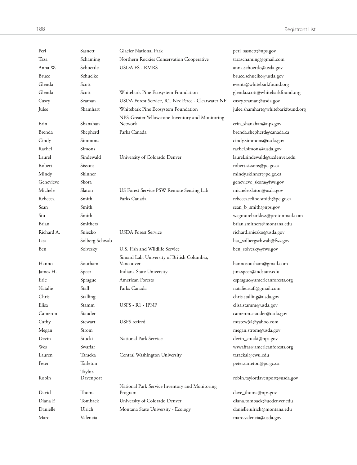| Peri         | Sasnett        | Glacier National Park                                    | peri_sasnett@nps.gov              |
|--------------|----------------|----------------------------------------------------------|-----------------------------------|
| Taza         | Schaming       | Northern Rockies Conservation Cooperative                | tazaschaming@gmail.com            |
| Anna W.      | Schoettle      | <b>USDA FS - RMRS</b>                                    | anna.schoettle@usda.gov           |
| <b>Bruce</b> | Schuelke       |                                                          | bruce.schuelke@usda.gov           |
| Glenda       | Scott          |                                                          | events@whitebarkfound.org         |
| Glenda       | Scott          | Whitebark Pine Ecosystem Foundation                      | glenda.scott@whitebarkfound.org   |
| Casey        | Seaman         | USDA Forest Service, R1, Nez Perce - Clearwater NF       | casey.seaman@usda.gov             |
| Julee        | Shamhart       | Whitebark Pine Ecosystem Foundation                      | julee.shamhart@whitebarkfound.org |
|              |                | NPS-Greater Yellowstone Inventory and Monitoring         |                                   |
| Erin         | Shanahan       | Network                                                  | erin_shanahan@nps.gov             |
| Brenda       | Shepherd       | Parks Canada                                             | brenda.shepherd@canada.ca         |
| Cindy        | Simmons        |                                                          | cindy.simmons@usda.gov            |
| Rachel       | Simons         |                                                          | rachel.simons@usda.gov            |
| Laurel       | Sindewald      | University of Colorado Denver                            | laurel.sindewald@ucdenver.edu     |
| Robert       | Sissons        |                                                          | robert.sissons@pc.gc.ca           |
| Mindy        | Skinner        |                                                          | mindy.skinner@pc.gc.ca            |
| Genevieve    | Skora          |                                                          | genevieve_skora@fws.gov           |
| Michele      | Slaton         | US Forest Service PSW Remote Sensing Lab                 | michele.slaton@usda.gov           |
| Rebecca      | Smith          | Parks Canada                                             | rebeccaceline.smith@pc.gc.ca      |
| Sean         | Smith          |                                                          | sean_b_smith@nps.gov              |
| Stu          | Smith          |                                                          | wagmorebarkless@protonmail.com    |
| Brian        | Smithers       |                                                          | brian.smithers@montana.edu        |
| Richard A.   | Sniezko        | <b>USDA</b> Forest Service                               | richard.sniezko@usda.gov          |
| Lisa         | Solberg Schwab |                                                          | lisa_solbergschwab@fws.gov        |
| Ben          | Solvesky       | U.S. Fish and Wildlife Service                           | ben_solvesky@fws.gov              |
| Hanno        | Southam        | Simard Lab, University of British Columbia,<br>Vancouver | hannosoutham@gmail.com            |
| James H.     | Speer          | Indiana State University                                 | jim.speer@indstate.edu            |
| Eric         | Sprague        | <b>American Forests</b>                                  | esprague@americanforests.org      |
| Natalie      | Stafl          | Parks Canada                                             | natalie.stafl@gmail.com           |
| Chris        | Stalling       |                                                          | chris.stalling@usda.gov           |
| Elisa        | Stamm          | USFS - R1 - IPNF                                         | elisa.stamm@usda.gov              |
| Cameron      | Stauder        |                                                          | cameron.stauder@usda.gov          |
| Cathy        | Stewart        | <b>USFS</b> retired                                      | mtstew54@yahoo.com                |
| Megan        | Strom          |                                                          | megan.strom@usda.gov              |
| Devin        | Stucki         | National Park Service                                    | devin_stucki@nps.gov              |
| Wes          | Swaffar        |                                                          | wswaffar@americanforests.org      |
| Lauren       | Taracka        | Central Washington University                            | tarackal@cwu.edu                  |
| Peter        | Tarleton       |                                                          | peter.tarleton@pc.gc.ca           |
|              | Taylor-        |                                                          |                                   |
| Robin        | Davenport      |                                                          | robin.taylordavenport@usda.gov    |
|              |                | National Park Service Inventory and Monitoring           |                                   |
| David        | Thoma          | Program                                                  | dave_thoma@nps.gov                |
| Diana F.     | Tomback        | University of Colorado Denver                            | diana.tomback@ucdenver.edu        |
| Danielle     | Ulrich         | Montana State University - Ecology                       | danielle.ulrich@montana.edu       |
| Marc         | Valencia       |                                                          | marc.valencia@usda.gov            |